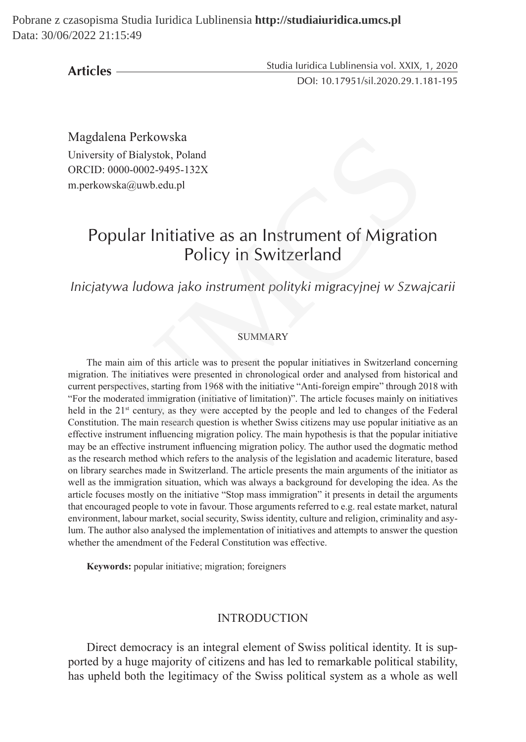**Articles**

Studia Iuridica Lublinensia vol. XXIX, 1, 2020 DOI: 10.17951/sil.2020.29.1.181-195

Magdalena Perkowska University of Bialystok, Poland ORCID: 0000-0002-9495-132X m.perkowska@uwb.edu.pl

# Popular Initiative as an Instrument of Migration Policy in Switzerland

## *Inicjatywa ludowa jako instrument polityki migracyjnej w Szwajcarii*

#### **SUMMARY**

The main aim of this article was to present the popular initiatives in Switzerland concerning migration. The initiatives were presented in chronological order and analysed from historical and current perspectives, starting from 1968 with the initiative "Anti-foreign empire" through 2018 with "For the moderated immigration (initiative of limitation)". The article focuses mainly on initiatives held in the 21<sup>st</sup> century, as they were accepted by the people and led to changes of the Federal Constitution. The main research question is whether Swiss citizens may use popular initiative as an effective instrument influencing migration policy. The main hypothesis is that the popular initiative may be an effective instrument influencing migration policy. The author used the dogmatic method as the research method which refers to the analysis of the legislation and academic literature, based on library searches made in Switzerland. The article presents the main arguments of the initiator as well as the immigration situation, which was always a background for developing the idea. As the article focuses mostly on the initiative "Stop mass immigration" it presents in detail the arguments that encouraged people to vote in favour. Those arguments referred to e.g. real estate market, natural environment, labour market, social security, Swiss identity, culture and religion, criminality and asylum. The author also analysed the implementation of initiatives and attempts to answer the question whether the amendment of the Federal Constitution was effective. ena Perkowska<br>
y of Bialystok, Poland<br>
0000-0002-9495-132X<br>
ska@uwb.edu.pl<br>
pular Initiative as an Instrument of Migratio<br>
Policy in Switzerland<br>
wa ludowa jako instrument polityki migracyjnej w Szwa<br>
SUMMARY<br>
SUMMARY<br>
mai

**Keywords:** popular initiative; migration; foreigners

#### INTRODUCTION

Direct democracy is an integral element of Swiss political identity. It is supported by a huge majority of citizens and has led to remarkable political stability, has upheld both the legitimacy of the Swiss political system as a whole as well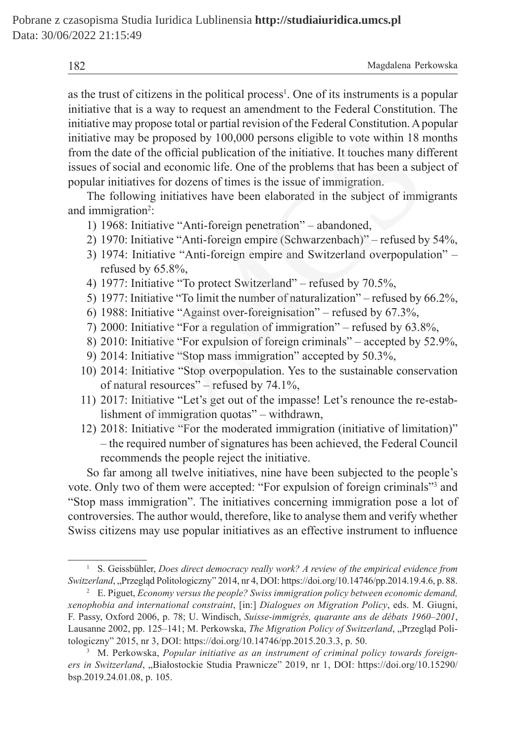| 182 | Magdalena Perkowska |  |
|-----|---------------------|--|
|     |                     |  |

as the trust of citizens in the political process<sup>1</sup>. One of its instruments is a popular initiative that is a way to request an amendment to the Federal Constitution. The initiative may propose total or partial revision of the Federal Constitution. Apopular initiative may be proposed by 100,000 persons eligible to vote within 18 months from the date of the official publication of the initiative. It touches many different issues of social and economic life. One of the problems that has been a subject of popular initiatives for dozens of times is the issue of immigration. r may be proposed by 100,000 persons eligible to vote within 18 r<br>date of the official publication of the initiative. It touches many di<br>social and economic life. One of the problems that has been a sub<br>initiatives for doz

The following initiatives have been elaborated in the subject of immigrants and immigration<sup>2</sup>:

- 1) 1968: Initiative "Anti-foreign penetration" abandoned,
- 2) 1970: Initiative "Anti-foreign empire (Schwarzenbach)" refused by 54%,
- 3) 1974: Initiative "Anti-foreign empire and Switzerland overpopulation" refused by 65.8%,
- 4) 1977: Initiative "To protect Switzerland" refused by 70.5%,
- 5) 1977: Initiative "To limit the number of naturalization" refused by 66.2%,
- 6) 1988: Initiative "Against over-foreignisation" refused by 67.3%,
- 7) 2000: Initiative "For a regulation of immigration" refused by 63.8%,
- 8) 2010: Initiative "For expulsion of foreign criminals" accepted by 52.9%,
- 9) 2014: Initiative "Stop mass immigration" accepted by 50.3%,
- 10) 2014: Initiative "Stop overpopulation. Yes to the sustainable conservation of natural resources" – refused by 74.1%,
- 11) 2017: Initiative "Let's get out of the impasse! Let's renounce the re-establishment of immigration quotas" – withdrawn,
- 12) 2018: Initiative "For the moderated immigration (initiative of limitation)" – the required number of signatures has been achieved, the Federal Council recommends the people reject the initiative.

So far among all twelve initiatives, nine have been subjected to the people's vote. Only two of them were accepted: "For expulsion of foreign criminals"<sup>3</sup> and "Stop mass immigration". The initiatives concerning immigration pose a lot of controversies. The author would, therefore, like to analyse them and verify whether Swiss citizens may use popular initiatives as an effective instrument to influence

<sup>1</sup> S. Geissbühler, *Does direct democracy really work? A review of the empirical evidence from Switzerland*, "Przegląd Politologiczny" 2014, nr 4, DOI: https://doi.org/10.14746/pp.2014.19.4.6, p. 88.

<sup>2</sup> E. Piguet, *Economy versus the people? Swiss immigration policy between economic demand, xenophobia and international constraint*, [in:] *Dialogues on Migration Policy*, eds. M. Giugni, F. Passy, Oxford 2006, p. 78; U. Windisch, *Suisse-immigrés, quarante ans de débats 1960–2001*, Lausanne 2002, pp. 125–141; M. Perkowska, *The Migration Policy of Switzerland*, "Przegląd Politologiczny" 2015, nr 3, DOI: https://doi.org/10.14746/pp.2015.20.3.3, p. 50.

<sup>&</sup>lt;sup>3</sup> M. Perkowska, *Popular initiative as an instrument of criminal policy towards foreign*ers in Switzerland, "Białostockie Studia Prawnicze" 2019, nr 1, DOI: https://doi.org/10.15290/ bsp.2019.24.01.08, p. 105.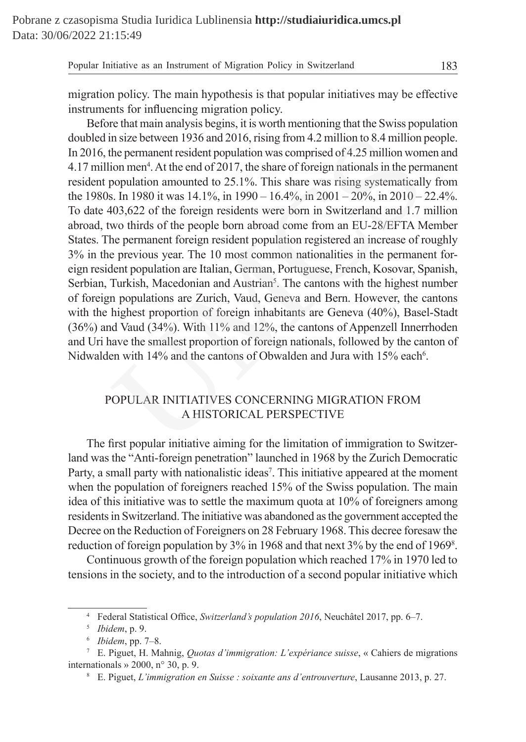migration policy. The main hypothesis is that popular initiatives may be effective instruments for influencing migration policy.

Before that main analysis begins, it is worth mentioning that the Swiss population doubled in size between 1936 and 2016, rising from 4.2 million to 8.4 million people. In 2016, the permanent resident population was comprised of 4.25 million women and 4.17 million men<sup>4</sup>. At the end of 2017, the share of foreign nationals in the permanent resident population amounted to 25.1%. This share was rising systematically from the 1980s. In 1980 it was  $14.1\%$ , in  $1990 - 16.4\%$ , in  $2001 - 20\%$ , in  $2010 - 22.4\%$ . To date 403,622 of the foreign residents were born in Switzerland and 1.7 million abroad, two thirds of the people born abroad come from an EU-28/EFTA Member States. The permanent foreign resident population registered an increase of roughly 3% in the previous year. The 10 most common nationalities in the permanent foreign resident population are Italian, German, Portuguese, French, Kosovar, Spanish, Serbian, Turkish, Macedonian and Austrian<sup>5</sup>. The cantons with the highest number of foreign populations are Zurich, Vaud, Geneva and Bern. However, the cantons with the highest proportion of foreign inhabitants are Geneva (40%), Basel-Stadt (36%) and Vaud (34%). With 11% and 12%, the cantons of Appenzell Innerrhoden and Uri have the smallest proportion of foreign nationals, followed by the canton of Nidwalden with 14% and the cantons of Obwalden and Jura with 15% each<sup>6</sup>. in size between 1936 and 2016, rising from 4.2 million to 8.4 million the permanent resident population was comprised of 4.25 million wor<br>ion men<sup>4</sup>. At the end of 2017, the share of foreign nationals in the perm<br>populati

## POPULAR INITIATIVES CONCERNING MIGRATION FROM A HISTORICAL PERSPECTIVE

The first popular initiative aiming for the limitation of immigration to Switzerland was the "Anti-foreign penetration" launched in 1968 by the Zurich Democratic Party, a small party with nationalistic ideas<sup>7</sup>. This initiative appeared at the moment when the population of foreigners reached 15% of the Swiss population. The main idea of this initiative was to settle the maximum quota at 10% of foreigners among residents in Switzerland. The initiative was abandoned as the government accepted the Decree on the Reduction of Foreigners on 28 February 1968. This decree foresaw the reduction of foreign population by 3% in 1968 and that next 3% by the end of 19698 .

Continuous growth of the foreign population which reached 17% in 1970 led to tensions in the society, and to the introduction of a second popular initiative which

<sup>4</sup> Federal Statistical Office, *Switzerland's population 2016*, Neuchâtel 2017, pp. 6–7.

<sup>5</sup> *Ibidem*, p. 9.

<sup>6</sup> *Ibidem*, pp. 7–8.

<sup>7</sup> E. Piguet, H. Mahnig, *Quotas d'immigration: L'expériance suisse*, « Cahiers de migrations internationals » 2000, n° 30, p. 9.

<sup>8</sup> E. Piguet, *L'immigration en Suisse : soixante ans d'entrouverture*, Lausanne 2013, p. 27.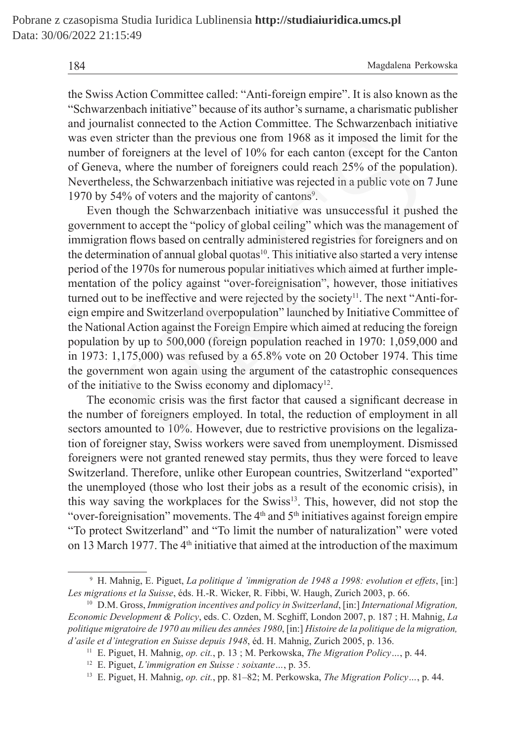184 Magdalena Perkowska

the Swiss Action Committee called: "Anti-foreign empire". It is also known as the "Schwarzenbach initiative" because of its author's surname, a charismatic publisher and journalist connected to the Action Committee. The Schwarzenbach initiative was even stricter than the previous one from 1968 as it imposed the limit for the number of foreigners at the level of 10% for each canton (except for the Canton of Geneva, where the number of foreigners could reach 25% of the population). Nevertheless, the Schwarzenbach initiative was rejected in a public vote on 7 June 1970 by 54% of voters and the majority of cantons<sup>9</sup>.

Even though the Schwarzenbach initiative was unsuccessful it pushed the government to accept the "policy of global ceiling" which was the management of immigration flows based on centrally administered registries for foreigners and on the determination of annual global quotas<sup>10</sup>. This initiative also started a very intense period of the 1970s for numerous popular initiatives which aimed at further implementation of the policy against "over-foreignisation", however, those initiatives turned out to be ineffective and were rejected by the society<sup>11</sup>. The next "Anti-foreign empire and Switzerland overpopulation" launched by Initiative Committee of the National Action against the Foreign Empire which aimed at reducing the foreign population by up to 500,000 (foreign population reached in 1970: 1,059,000 and in 1973: 1,175,000) was refused by a 65.8% vote on 20 October 1974. This time the government won again using the argument of the catastrophic consequences of the initiative to the Swiss economy and diplomacy<sup>12</sup>. 1 stricter than the previous one from 1968 as it imposed the limit<br>of foreigners at the level of 10% for each canton (except for the 6<br>va, where the number of foreigners could reach 25% of the popul<br>elses, the Schwarzenbac

The economic crisis was the first factor that caused a significant decrease in the number of foreigners employed. In total, the reduction of employment in all sectors amounted to 10%. However, due to restrictive provisions on the legalization of foreigner stay, Swiss workers were saved from unemployment. Dismissed foreigners were not granted renewed stay permits, thus they were forced to leave Switzerland. Therefore, unlike other European countries, Switzerland "exported" the unemployed (those who lost their jobs as a result of the economic crisis), in this way saving the workplaces for the Swiss13. This, however, did not stop the "over-foreignisation" movements. The  $4<sup>th</sup>$  and  $5<sup>th</sup>$  initiatives against foreign empire "To protect Switzerland" and "To limit the number of naturalization" were voted on 13 March 1977. The  $4<sup>th</sup>$  initiative that aimed at the introduction of the maximum

<sup>9</sup> H. Mahnig, E. Piguet, *La politique d 'immigration de 1948 a 1998: evolution et effets*, [in:] *Les migrations et la Suisse*, éds. H.-R. Wicker, R. Fibbi, W. Haugh, Zurich 2003, p. 66.

<sup>10</sup> D.M. Gross, *Immigration incentives and policy in Switzerland*, [in:] *International Migration, Economic Development & Policy*, eds. C. Ozden, M. Scghiff, London 2007, p. 187 ; H. Mahnig, *La politique migratoire de 1970 au milieu des années 1980*, [in:] *Histoire de la politique de la migration, d'asile et d'integration en Suisse depuis 1948*, éd. H. Mahnig, Zurich 2005, p. 136.

<sup>11</sup> E. Piguet, H. Mahnig, *op. cit.*, p. 13 ; M. Perkowska, *The Migration Policy…*, p. 44.

<sup>12</sup> E. Piguet, *L'immigration en Suisse : soixante…*, p. 35.

<sup>13</sup> E. Piguet, H. Mahnig, *op. cit.*, pp. 81–82; M. Perkowska, *The Migration Policy…*, p. 44.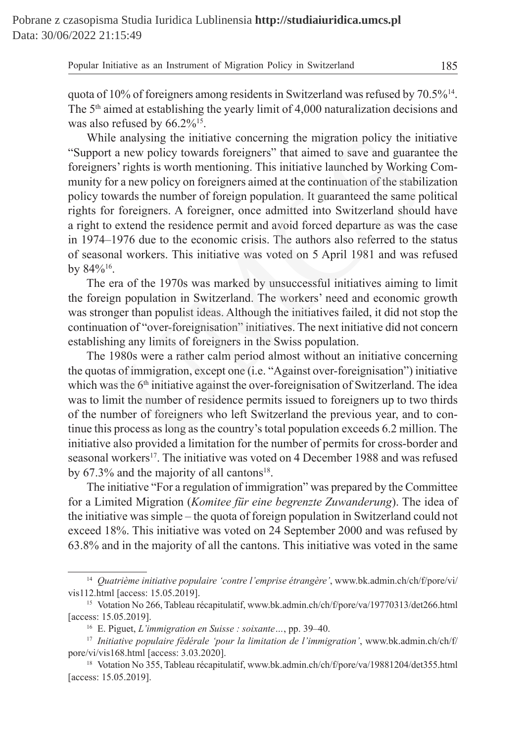quota of 10% of foreigners among residents in Switzerland was refused by  $70.5\%$ <sup>14</sup>. The  $5<sup>th</sup>$  aimed at establishing the yearly limit of 4,000 naturalization decisions and was also refused by  $66.2\%^{15}$ .

While analysing the initiative concerning the migration policy the initiative "Support a new policy towards foreigners" that aimed to save and guarantee the foreigners' rights is worth mentioning. This initiative launched by Working Community for a new policy on foreigners aimed at the continuation of the stabilization policy towards the number of foreign population. It guaranteed the same political rights for foreigners. A foreigner, once admitted into Switzerland should have a right to extend the residence permit and avoid forced departure as was the case in 1974–1976 due to the economic crisis. The authors also referred to the status of seasonal workers. This initiative was voted on 5 April 1981 and was refused by 84%16. le analysing the initiative concerning the migration policy the initiative and guasars' rights is worth mentioning. This initiative launched by Working and a save policy on foreigners aimed at the continuation of the stab

The era of the 1970s was marked by unsuccessful initiatives aiming to limit the foreign population in Switzerland. The workers' need and economic growth was stronger than populist ideas. Although the initiatives failed, it did not stop the continuation of "over-foreignisation" initiatives. The next initiative did not concern establishing any limits of foreigners in the Swiss population.

The 1980s were a rather calm period almost without an initiative concerning the quotas of immigration, except one (i.e. "Against over-foreignisation") initiative which was the 6<sup>th</sup> initiative against the over-foreignisation of Switzerland. The idea was to limit the number of residence permits issued to foreigners up to two thirds of the number of foreigners who left Switzerland the previous year, and to continue this process as long as the country's total population exceeds 6.2 million. The initiative also provided a limitation for the number of permits for cross-border and seasonal workers<sup>17</sup>. The initiative was voted on 4 December 1988 and was refused by  $67.3\%$  and the majority of all cantons<sup>18</sup>.

The initiative "For a regulation of immigration" was prepared by the Committee for a Limited Migration (*Komitee für eine begrenzte Zuwanderung*). The idea of the initiative was simple – the quota of foreign population in Switzerland could not exceed 18%. This initiative was voted on 24 September 2000 and was refused by 63.8% and in the majority of all the cantons. This initiative was voted in the same

<sup>14</sup> *Quatrième initiative populaire 'contre l'emprise étrangère'*, www.bk.admin.ch/ch/f/pore/vi/ vis112.html [access: 15.05.2019].

<sup>&</sup>lt;sup>15</sup> Votation No 266, Tableau récapitulatif, www.bk.admin.ch/ch/f/pore/va/19770313/det266.html [access: 15.05.2019].

<sup>16</sup> E. Piguet, *L'immigration en Suisse : soixante…*, pp. 39–40.

<sup>17</sup> *Initiative populaire fédérale 'pour la limitation de l'immigration'*, www.bk.admin.ch/ch/f/ pore/vi/vis168.html [access: 3.03.2020].

<sup>&</sup>lt;sup>18</sup> Votation No 355, Tableau récapitulatif, www.bk.admin.ch/ch/f/pore/va/19881204/det355.html [access: 15.05.2019].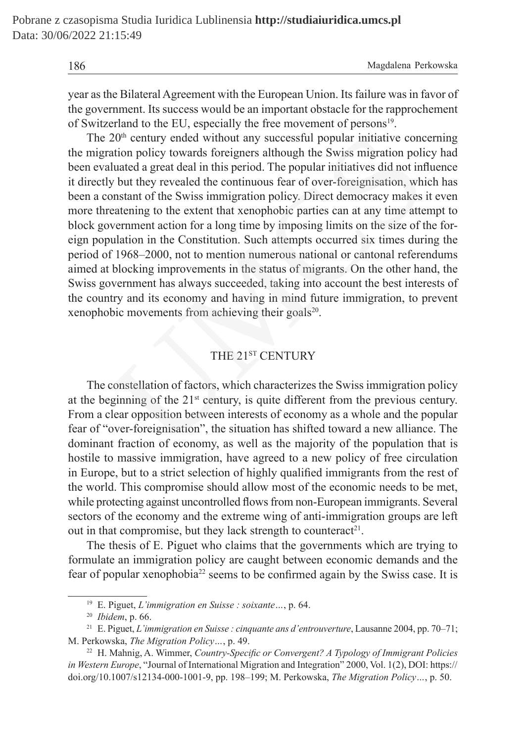186 Magdalena Perkowska

year as the Bilateral Agreement with the European Union. Its failure was in favor of the government. Its success would be an important obstacle for the rapprochement of Switzerland to the EU, especially the free movement of persons<sup>19</sup>.

The 20<sup>th</sup> century ended without any successful popular initiative concerning the migration policy towards foreigners although the Swiss migration policy had been evaluated a great deal in this period. The popular initiatives did not influence it directly but they revealed the continuous fear of over-foreignisation, which has been a constant of the Swiss immigration policy. Direct democracy makes it even more threatening to the extent that xenophobic parties can at any time attempt to block government action for a long time by imposing limits on the size of the foreign population in the Constitution. Such attempts occurred six times during the period of 1968–2000, not to mention numerous national or cantonal referendums aimed at blocking improvements in the status of migrants. On the other hand, the Swiss government has always succeeded, taking into account the best interests of the country and its economy and having in mind future immigration, to prevent xenophobic movements from achieving their goals<sup>20</sup>.  $20^{\text{th}}$  century ended without any successful popular initiative conc<br>ation policy towards foreigners although the Swiss migration poli<br>uluated a great deal in this period. The popular initiatives did not inf<br>uluated a

### THE 21ST CENTURY

The constellation of factors, which characterizes the Swiss immigration policy at the beginning of the  $21<sup>st</sup>$  century, is quite different from the previous century. From a clear opposition between interests of economy as a whole and the popular fear of "over-foreignisation", the situation has shifted toward a new alliance. The dominant fraction of economy, as well as the majority of the population that is hostile to massive immigration, have agreed to a new policy of free circulation in Europe, but to a strict selection of highly qualified immigrants from the rest of the world. This compromise should allow most of the economic needs to be met, while protecting against uncontrolled flows from non-European immigrants. Several sectors of the economy and the extreme wing of anti-immigration groups are left out in that compromise, but they lack strength to counteract<sup>21</sup>.

The thesis of E. Piguet who claims that the governments which are trying to formulate an immigration policy are caught between economic demands and the fear of popular xenophobia22 seems to be confirmed again by the Swiss case. It is

<sup>19</sup> E. Piguet, *L'immigration en Suisse : soixante…*, p. 64.

<sup>20</sup> *Ibidem*, p. 66.

<sup>21</sup> E. Piguet, *L'immigration en Suisse : cinquante ans d'entrouverture*, Lausanne 2004, pp. 70–71; M. Perkowska, *The Migration Policy…*, p. 49.

<sup>22</sup> H. Mahnig, A. Wimmer, *Country-Specific or Convergent? A Typology of Immigrant Policies in Western Europe*, "Journal of International Migration and Integration" 2000, Vol. 1(2), DOI: https:// doi.org/10.1007/s12134-000-1001-9, pp. 198–199; M. Perkowska, *The Migration Policy…*, p. 50.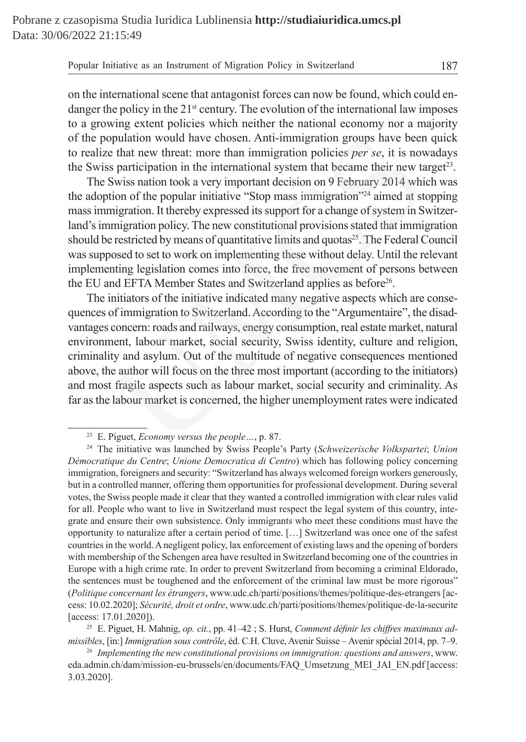on the international scene that antagonist forces can now be found, which could endanger the policy in the  $21<sup>st</sup>$  century. The evolution of the international law imposes to a growing extent policies which neither the national economy nor a majority of the population would have chosen. Anti-immigration groups have been quick to realize that new threat: more than immigration policies *per se*, it is nowadays the Swiss participation in the international system that became their new target<sup>23</sup>.

The Swiss nation took a very important decision on 9 February 2014 which was the adoption of the popular initiative "Stop mass immigration"24 aimed at stopping mass immigration. It thereby expressed its support for a change of system in Switzerland's immigration policy. The new constitutional provisions stated that immigration should be restricted by means of quantitative limits and quotas<sup>25</sup>. The Federal Council was supposed to set to work on implementing these without delay. Until the relevant implementing legislation comes into force, the free movement of persons between the EU and EFTA Member States and Switzerland applies as before<sup>26</sup>.

The initiators of the initiative indicated many negative aspects which are consequences of immigration to Switzerland. According to the "Argumentaire", the disadvantages concern: roads and railways, energy consumption, real estate market, natural environment, labour market, social security, Swiss identity, culture and religion, criminality and asylum. Out of the multitude of negative consequences mentioned above, the author will focus on the three most important (according to the initiators) and most fragile aspects such as labour market, social security and criminality. As far as the labour market is concerned, the higher unemployment rates were indicated ppulation would have chosen. Anti-immigration groups have been<br>e that new threat: more than immigration policies *per se*, it is now<br>Systiss nation took a very important decision on 9 February 2014 whi<br>Siviss nation took

<sup>25</sup> E. Piguet, H. Mahnig, *op. cit.*, pp. 41–42 ; S. Hurst, *Comment définir les chiffres maximaux admissibles*, [in:] *Immigration sous contrôle*, éd. C.H. Cluve, Avenir Suisse – Avenir spécial 2014, pp. 7–9.

<sup>23</sup> E. Piguet, *Economy versus the people…*, p. 87.

<sup>24</sup> The initiative was launched by Swiss People's Party (*Schweizerische Volkspartei*; *Union Démocratique du Centre*; *Unione Democratica di Centro*) which has following policy concerning immigration, foreigners and security: "Switzerland has always welcomed foreign workers generously, but in a controlled manner, offering them opportunities for professional development. During several votes, the Swiss people made it clear that they wanted a controlled immigration with clear rules valid for all. People who want to live in Switzerland must respect the legal system of this country, integrate and ensure their own subsistence. Only immigrants who meet these conditions must have the opportunity to naturalize after a certain period of time. […] Switzerland was once one of the safest countries in the world. Anegligent policy, lax enforcement of existing laws and the opening of borders with membership of the Schengen area have resulted in Switzerland becoming one of the countries in Europe with a high crime rate. In order to prevent Switzerland from becoming a criminal Eldorado, the sentences must be toughened and the enforcement of the criminal law must be more rigorous" (*Politique concernant les étrangers*, www.udc.ch/parti/positions/themes/politique-des-etrangers [access: 10.02.2020]; *Sécurité, droit et ordre*, www.udc.ch/parti/positions/themes/politique-de-la-securite [access: 17.01.2020]).

<sup>26</sup> *Implementing the new constitutional provisions on immigration: questions and answers*, www. eda.admin.ch/dam/mission-eu-brussels/en/documents/FAQ\_Umsetzung\_MEI\_JAI\_EN.pdf [access: 3.03.2020].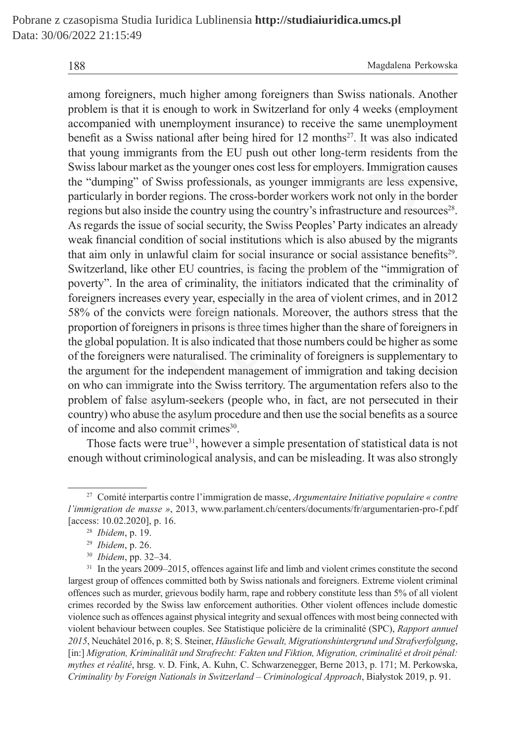among foreigners, much higher among foreigners than Swiss nationals. Another problem is that it is enough to work in Switzerland for only 4 weeks (employment accompanied with unemployment insurance) to receive the same unemployment benefit as a Swiss national after being hired for  $12$  months<sup>27</sup>. It was also indicated that young immigrants from the EU push out other long-term residents from the Swiss labour market as the younger ones cost less for employers. Immigration causes the "dumping" of Swiss professionals, as younger immigrants are less expensive, particularly in border regions. The cross-border workers work not only in the border regions but also inside the country using the country's infrastructure and resources<sup>28</sup>. As regards the issue of social security, the Swiss Peoples' Party indicates an already weak financial condition of social institutions which is also abused by the migrants that aim only in unlawful claim for social insurance or social assistance benefits29. Switzerland, like other EU countries, is facing the problem of the "immigration of poverty". In the area of criminality, the initiators indicated that the criminality of foreigners increases every year, especially in the area of violent crimes, and in 2012 58% of the convicts were foreign nationals. Moreover, the authors stress that the proportion of foreigners in prisons is three times higher than the share of foreigners in the global population. It is also indicated that those numbers could be higher as some of the foreigners were naturalised. The criminality of foreigners is supplementary to the argument for the independent management of immigration and taking decision on who can immigrate into the Swiss territory. The argumentation refers also to the problem of false asylum-seekers (people who, in fact, are not persecuted in their country) who abuse the asylum procedure and then use the social benefits as a source of income and also commit crimes<sup>30</sup>. s a Swiss national after being hired for 12 months<sup>27</sup>. It was also ine<br>mg immigrants from the EU push out other long-term residents fro<br>our market as the younger ones cost less for employers. Immigration<br>pipig" of Swiss p

Those facts were true<sup>31</sup>, however a simple presentation of statistical data is not enough without criminological analysis, and can be misleading. It was also strongly

<sup>27</sup> Comité interpartis contre l'immigration de masse, *Argumentaire Initiative populaire « contre l'immigration de masse »*, 2013, www.parlament.ch/centers/documents/fr/argumentarien-pro-f.pdf [access: 10.02.2020], p. 16.

<sup>28</sup> *Ibidem*, p. 19.

<sup>29</sup> *Ibidem*, p. 26.

<sup>30</sup> *Ibidem*, pp. 32–34.

<sup>&</sup>lt;sup>31</sup> In the years 2009–2015, offences against life and limb and violent crimes constitute the second largest group of offences committed both by Swiss nationals and foreigners. Extreme violent criminal offences such as murder, grievous bodily harm, rape and robbery constitute less than 5% of all violent crimes recorded by the Swiss law enforcement authorities. Other violent offences include domestic violence such as offences against physical integrity and sexual offences with most being connected with violent behaviour between couples. See Statistique policière de la criminalité (SPC), *Rapport annuel 2015*, Neuchâtel 2016, p. 8; S. Steiner, *Häusliche Gewalt, Migrationshintergrund und Strafverfolgung*, [in:] *Migration, Kriminalität und Strafrecht: Fakten und Fiktion, Migration, criminalité et droit pénal: mythes et réalité*, hrsg. v. D. Fink, A. Kuhn, C. Schwarzenegger, Berne 2013, p. 171; M. Perkowska, *Criminality by Foreign Nationals in Switzerland – Criminological Approach*, Białystok 2019, p. 91.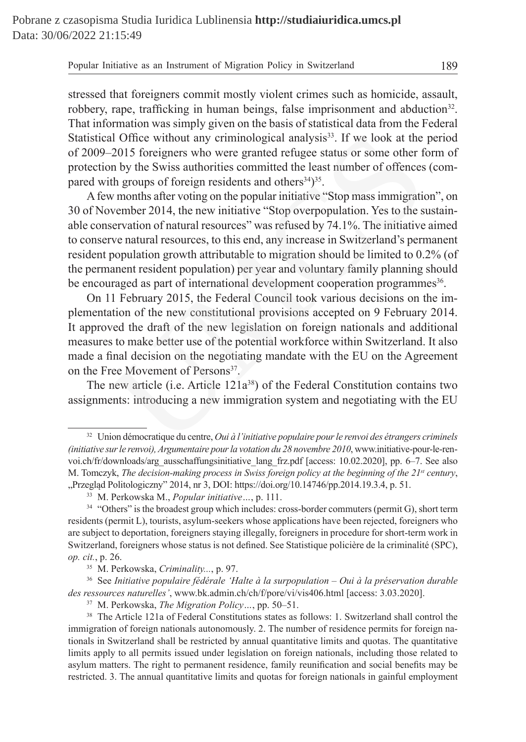stressed that foreigners commit mostly violent crimes such as homicide, assault, robbery, rape, trafficking in human beings, false imprisonment and abduction<sup>32</sup>. That information was simply given on the basis of statistical data from the Federal Statistical Office without any criminological analysis<sup>33</sup>. If we look at the period of 2009–2015 foreigners who were granted refugee status or some other form of protection by the Swiss authorities committed the least number of offences (compared with groups of foreign residents and others $34$ )<sup>35</sup>.

Afew months after voting on the popular initiative "Stop mass immigration", on 30 of November 2014, the new initiative "Stop overpopulation. Yes to the sustainable conservation of natural resources" was refused by 74.1%. The initiative aimed to conserve natural resources, to this end, any increase in Switzerland's permanent resident population growth attributable to migration should be limited to 0.2% (of the permanent resident population) per year and voluntary family planning should be encouraged as part of international development cooperation programmes<sup>36</sup>. al Office without any criminological analysis<sup>33</sup>. If we look at the 2015 foreigners who were granted refugee status or some other ft hyroups of foreign residents and others<sup>43</sup><sup>35</sup>. If we look at the least number of offe

On 11 February 2015, the Federal Council took various decisions on the implementation of the new constitutional provisions accepted on 9 February 2014. It approved the draft of the new legislation on foreign nationals and additional measures to make better use of the potential workforce within Switzerland. It also made a final decision on the negotiating mandate with the EU on the Agreement on the Free Movement of Persons<sup>37</sup>.

The new article (i.e. Article  $121a^{38}$ ) of the Federal Constitution contains two assignments: introducing a new immigration system and negotiating with the EU

<sup>36</sup> See *Initiative populaire fédérale 'Halte à la surpopulation – Oui à la préservation durable des ressources naturelles'*, www.bk.admin.ch/ch/f/pore/vi/vis406.html [access: 3.03.2020].

<sup>32</sup> Union démocratique du centre, *Oui à l'initiative populaire pour le renvoi des étrangers criminels (initiative sur le renvoi), Argumentaire pour la votation du 28 novembre 2010*, www.initiative-pour-le-renvoi.ch/fr/downloads/arg\_ausschaffungsinitiative\_lang\_frz.pdf [access: 10.02.2020], pp. 6–7. See also M. Tomczyk, *The decision-making process in Swiss foreign policy at the beginning of the 21st century*, "Przegląd Politologiczny" 2014, nr 3, DOI: https://doi.org/10.14746/pp.2014.19.3.4, p. 51.

<sup>33</sup> M. Perkowska M., *Popular initiative…*, p. 111.

<sup>&</sup>lt;sup>34</sup> "Others" is the broadest group which includes: cross-border commuters (permit G), short term residents (permit L), tourists, asylum-seekers whose applications have been rejected, foreigners who are subject to deportation, foreigners staying illegally, foreigners in procedure for short-term work in Switzerland, foreigners whose status is not defined. See Statistique policière de la criminalité (SPC), *op. cit.*, p. 26.

<sup>35</sup> M. Perkowska, *Criminality...*, p. 97.

<sup>37</sup> M. Perkowska, *The Migration Policy…*, pp. 50–51.

<sup>&</sup>lt;sup>38</sup> The Article 121a of Federal Constitutions states as follows: 1. Switzerland shall control the immigration of foreign nationals autonomously. 2. The number of residence permits for foreign nationals in Switzerland shall be restricted by annual quantitative limits and quotas. The quantitative limits apply to all permits issued under legislation on foreign nationals, including those related to asylum matters. The right to permanent residence, family reunification and social benefits may be restricted. 3. The annual quantitative limits and quotas for foreign nationals in gainful employment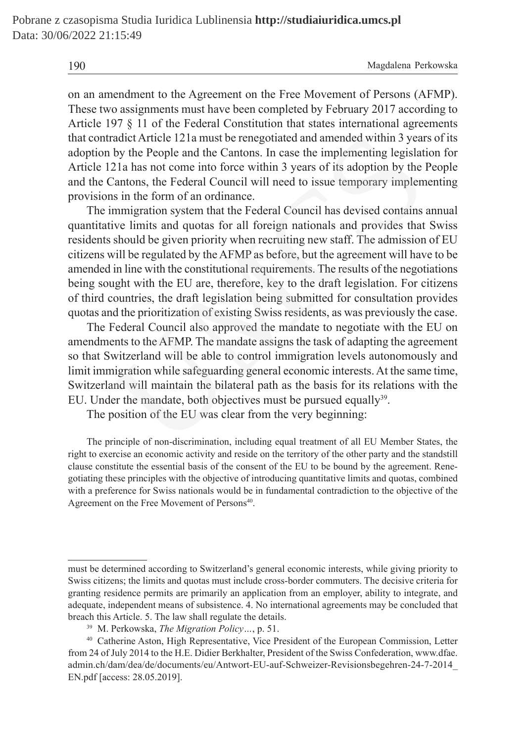190 Magdalena Perkowska

on an amendment to the Agreement on the Free Movement of Persons (AFMP). These two assignments must have been completed by February 2017 according to Article 197 § 11 of the Federal Constitution that states international agreements that contradict Article 121a must be renegotiated and amended within 3 years of its adoption by the People and the Cantons. In case the implementing legislation for Article 121a has not come into force within 3 years of its adoption by the People and the Cantons, the Federal Council will need to issue temporary implementing provisions in the form of an ordinance.

The immigration system that the Federal Council has devised contains annual quantitative limits and quotas for all foreign nationals and provides that Swiss residents should be given priority when recruiting new staff. The admission of EU citizens will be regulated by the AFMP as before, but the agreement will have to be amended in line with the constitutional requirements. The results of the negotiations being sought with the EU are, therefore, key to the draft legislation. For citizens of third countries, the draft legislation being submitted for consultation provides quotas and the prioritization of existing Swiss residents, as was previously the case. radict Article 121a must be renegotiated and amended within 3 year<br>by the People and the Cantons. In case the implementing legislat<br>21a has not come into force within 3 years of its adoption by the<br>2atnons, the Federal Cou

The Federal Council also approved the mandate to negotiate with the EU on amendments to the AFMP. The mandate assigns the task of adapting the agreement so that Switzerland will be able to control immigration levels autonomously and limit immigration while safeguarding general economic interests. At the same time, Switzerland will maintain the bilateral path as the basis for its relations with the EU. Under the mandate, both objectives must be pursued equally<sup>39</sup>.

The position of the EU was clear from the very beginning:

The principle of non-discrimination, including equal treatment of all EU Member States, the right to exercise an economic activity and reside on the territory of the other party and the standstill clause constitute the essential basis of the consent of the EU to be bound by the agreement. Renegotiating these principles with the objective of introducing quantitative limits and quotas, combined with a preference for Swiss nationals would be in fundamental contradiction to the objective of the Agreement on the Free Movement of Persons<sup>40</sup>.

must be determined according to Switzerland's general economic interests, while giving priority to Swiss citizens; the limits and quotas must include cross-border commuters. The decisive criteria for granting residence permits are primarily an application from an employer, ability to integrate, and adequate, independent means of subsistence. 4. No international agreements may be concluded that breach this Article. 5. The law shall regulate the details.

<sup>39</sup> M. Perkowska, *The Migration Policy…*, p. 51.

<sup>40</sup> Catherine Aston, High Representative, Vice President of the European Commission, Letter from 24 of July 2014 to the H.E. Didier Berkhalter, President of the Swiss Confederation, www.dfae. admin.ch/dam/dea/de/documents/eu/Antwort-EU-auf-Schweizer-Revisionsbegehren-24-7-2014\_ EN.pdf [access: 28.05.2019].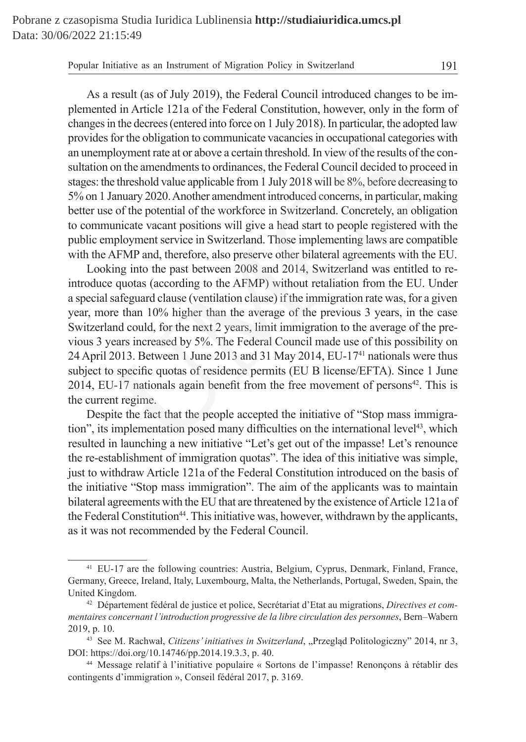As a result (as of July 2019), the Federal Council introduced changes to be implemented in Article 121a of the Federal Constitution, however, only in the form of changes in the decrees (entered into force on 1 July 2018). In particular, the adopted law provides for the obligation to communicate vacancies in occupational categories with an unemployment rate at or above a certain threshold. In view of the results of the consultation on the amendments to ordinances, the Federal Council decided to proceed in stages: the threshold value applicable from 1 July 2018 will be 8%, before decreasing to 5% on 1 January 2020. Another amendment introduced concerns, in particular, making better use of the potential of the workforce in Switzerland. Concretely, an obligation to communicate vacant positions will give a head start to people registered with the public employment service in Switzerland. Those implementing laws are compatible with the AFMP and, therefore, also preserve other bilateral agreements with the EU.

Looking into the past between 2008 and 2014, Switzerland was entitled to reintroduce quotas (according to the AFMP) without retaliation from the EU. Under a special safeguard clause (ventilation clause) if the immigration rate was, for a given year, more than 10% higher than the average of the previous 3 years, in the case Switzerland could, for the next 2 years, limit immigration to the average of the previous 3 years increased by 5%. The Federal Council made use of this possibility on 24 April 2013. Between 1 June 2013 and 31 May 2014, EU-1741 nationals were thus subject to specific quotas of residence permits (EU B license/EFTA). Since 1 June 2014, EU-17 nationals again benefit from the free movement of persons $42$ . This is the current regime. for the obligation to communicate vacancies in occupational categori<br>ployment rate at or above a certain threshold. In view of the results of th<br>on the amendments to ordinances, the Federal Council decided to pro<br>e thresh

Despite the fact that the people accepted the initiative of "Stop mass immigration", its implementation posed many difficulties on the international level43, which resulted in launching a new initiative "Let's get out of the impasse! Let's renounce the re-establishment of immigration quotas". The idea of this initiative was simple, just to withdraw Article 121a of the Federal Constitution introduced on the basis of the initiative "Stop mass immigration". The aim of the applicants was to maintain bilateral agreements with the EU that are threatened by the existence of Article 121a of the Federal Constitution<sup>44</sup>. This initiative was, however, withdrawn by the applicants, as it was not recommended by the Federal Council.

<sup>41</sup> EU-17 are the following countries: Austria, Belgium, Cyprus, Denmark, Finland, France, Germany, Greece, Ireland, Italy, Luxembourg, Malta, the Netherlands, Portugal, Sweden, Spain, the United Kingdom.

<sup>42</sup> Département fédéral de justice et police, Secrétariat d'Etat au migrations, *Directives et commentaires concernant l'introduction progressive de la libre circulation des personnes*, Bern–Wabern 2019, p. 10.

<sup>43</sup> See M. Rachwał, *Citizens' initiatives in Switzerland*, "Przegląd Politologiczny" 2014, nr 3, DOI: https://doi.org/10.14746/pp.2014.19.3.3, p. 40.

<sup>44</sup> Message relatif à l'initiative populaire « Sortons de l'impasse! Renonçons à rétablir des contingents d'immigration », Conseil fédéral 2017, p. 3169.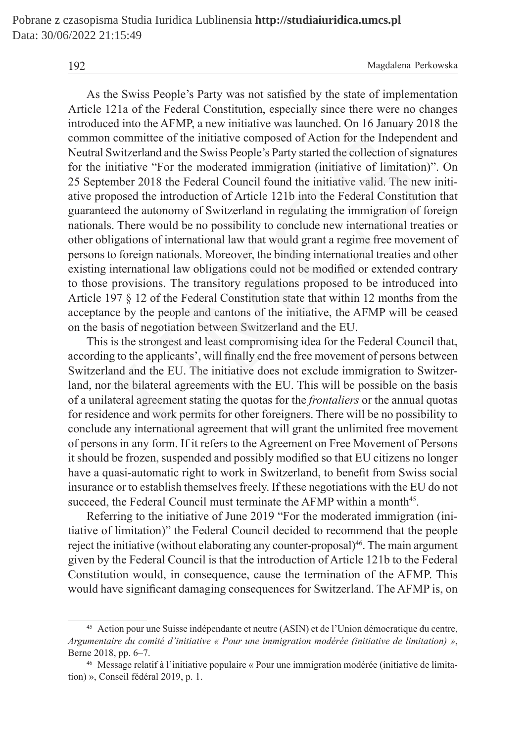As the Swiss People's Party was not satisfied by the state of implementation Article 121a of the Federal Constitution, especially since there were no changes introduced into the AFMP, a new initiative was launched. On 16 January 2018 the common committee of the initiative composed of Action for the Independent and Neutral Switzerland and the Swiss People's Party started the collection of signatures for the initiative "For the moderated immigration (initiative of limitation)". On 25 September 2018 the Federal Council found the initiative valid. The new initiative proposed the introduction of Article 121b into the Federal Constitution that guaranteed the autonomy of Switzerland in regulating the immigration of foreign nationals. There would be no possibility to conclude new international treaties or other obligations of international law that would grant a regime free movement of persons to foreign nationals. Moreover, the binding international treaties and other existing international law obligations could not be modified or extended contrary to those provisions. The transitory regulations proposed to be introduced into Article 197 § 12 of the Federal Constitution state that within 12 months from the acceptance by the people and cantons of the initiative, the AFMP will be ceased on the basis of negotiation between Switzerland and the EU. committee of the initiative composed of Action for the Independe<br>
Switzerland and the Swiss People's Party started the collection of signitiative "For the moderated immigration (initiative of limitation<br>
mehre 2018 the Fed

This is the strongest and least compromising idea for the Federal Council that, according to the applicants', will finally end the free movement of persons between Switzerland and the EU. The initiative does not exclude immigration to Switzerland, nor the bilateral agreements with the EU. This will be possible on the basis of a unilateral agreement stating the quotas for the *frontaliers* or the annual quotas for residence and work permits for other foreigners. There will be no possibility to conclude any international agreement that will grant the unlimited free movement of persons in any form. If it refers to the Agreement on Free Movement of Persons it should be frozen, suspended and possibly modified so that EU citizens no longer have a quasi-automatic right to work in Switzerland, to benefit from Swiss social insurance or to establish themselves freely. If these negotiations with the EU do not succeed, the Federal Council must terminate the AFMP within a month<sup>45</sup>.

Referring to the initiative of June 2019 "For the moderated immigration (initiative of limitation)" the Federal Council decided to recommend that the people reject the initiative (without elaborating any counter-proposal)<sup>46</sup>. The main argument given by the Federal Council is that the introduction of Article 121b to the Federal Constitution would, in consequence, cause the termination of the AFMP. This would have significant damaging consequences for Switzerland. The AFMP is, on

<sup>45</sup> Action pour une Suisse indépendante et neutre (ASIN) et de l'Union démocratique du centre, *Argumentaire du comité d'initiative « Pour une immigration modérée (initiative de limitation) »*, Berne 2018, pp. 6–7.

<sup>46</sup> Message relatif à l'initiative populaire « Pour une immigration modérée (initiative de limitation) », Conseil fédéral 2019, p. 1.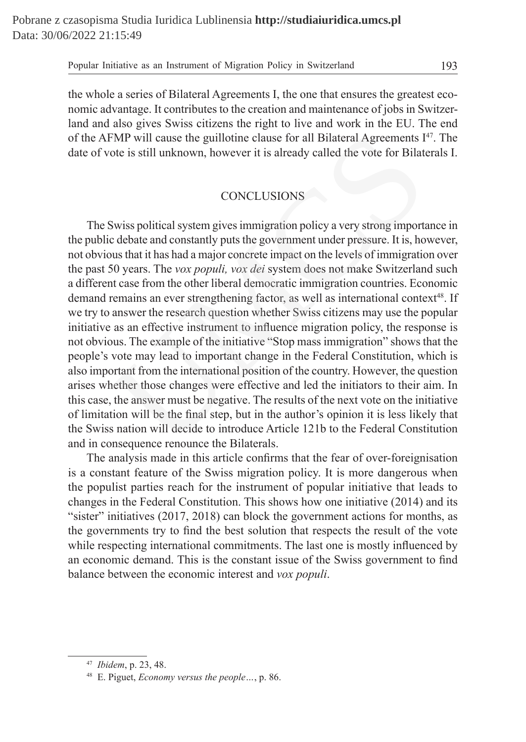the whole a series of Bilateral Agreements I, the one that ensures the greatest economic advantage. It contributes to the creation and maintenance of jobs in Switzerland and also gives Swiss citizens the right to live and work in the EU. The end of the AFMP will cause the guillotine clause for all Bilateral Agreements  $I^{47}$ . The date of vote is still unknown, however it is already called the vote for Bilaterals I.

## **CONCLUSIONS**

The Swiss political system gives immigration policy a very strong importance in the public debate and constantly puts the government under pressure. It is, however, not obvious that it has had a major concrete impact on the levels of immigration over the past 50 years. The *vox populi, vox dei* system does not make Switzerland such a different case from the other liberal democratic immigration countries. Economic demand remains an ever strengthening factor, as well as international context<sup>48</sup>. If we try to answer the research question whether Swiss citizens may use the popular initiative as an effective instrument to influence migration policy, the response is not obvious. The example of the initiative "Stop mass immigration" shows that the people's vote may lead to important change in the Federal Constitution, which is also important from the international position of the country. However, the question arises whether those changes were effective and led the initiators to their aim. In this case, the answer must be negative. The results of the next vote on the initiative of limitation will be the final step, but in the author's opinion it is less likely that the Swiss nation will decide to introduce Article 121b to the Federal Constitution and in consequence renounce the Bilaterals. FMP will cause the guillotine clause for all Bilateral Agreements I<br>ote is still unknown, however it is already called the vote for Bilat<br>conte is still unknown, however it is already called the vote for Bilat<br>CONCLUSIONS

The analysis made in this article confirms that the fear of over-foreignisation is a constant feature of the Swiss migration policy. It is more dangerous when the populist parties reach for the instrument of popular initiative that leads to changes in the Federal Constitution. This shows how one initiative (2014) and its "sister" initiatives (2017, 2018) can block the government actions for months, as the governments try to find the best solution that respects the result of the vote while respecting international commitments. The last one is mostly influenced by an economic demand. This is the constant issue of the Swiss government to find balance between the economic interest and *vox populi*.

<sup>47</sup> *Ibidem*, p. 23, 48.

<sup>48</sup> E. Piguet, *Economy versus the people…*, p. 86.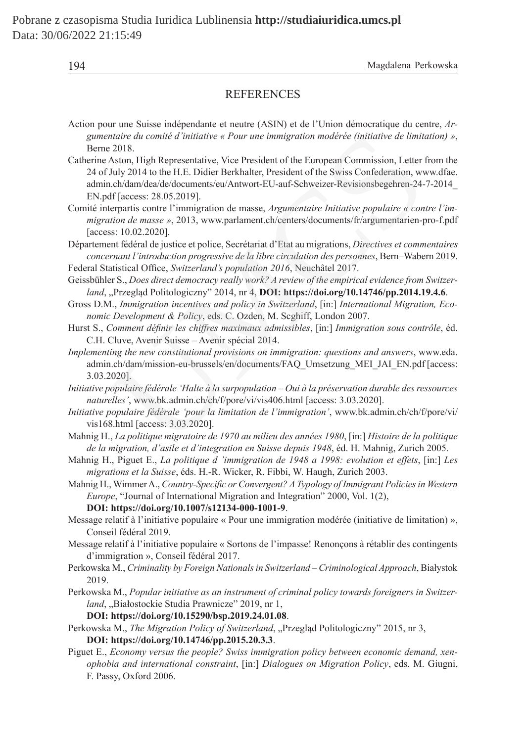| × |
|---|
|   |
|   |

#### **REFERENCES**

| Action pour une Suisse indépendante et neutre (ASIN) et de l'Union démocratique du centre, Ar- |
|------------------------------------------------------------------------------------------------|
| gumentaire du comité d'initiative « Pour une immigration modérée (initiative de limitation) ». |
| Berne 2018.                                                                                    |

Catherine Aston, High Representative, Vice President of the European Commission, Letter from the 24 of July 2014 to the H.E. Didier Berkhalter, President of the Swiss Confederation, www.dfae. admin.ch/dam/dea/de/documents/eu/Antwort-EU-auf-Schweizer-Revisionsbegehren-24-7-2014\_ EN.pdf [access: 28.05.2019]. ntaire du comité d'initiative « Pour une immigration modérée (initiative de limit<br>2018.<br>2018.<br>2018.<br>2018.<br>Aston, High Representative, Vice President of the European Commission, Letter July 2014 to the H.E. Didier Berkhalte

Comité interpartis contre l'immigration de masse, *Argumentaire Initiative populaire « contre l'immigration de masse »*, 2013, www.parlament.ch/centers/documents/fr/argumentarien-pro-f.pdf [access: 10.02.2020].

Département fédéral de justice et police, Secrétariat d'Etat au migrations, *Directives et commentaires concernant l'introduction progressive de la libre circulation des personnes*, Bern–Wabern 2019. Federal Statistical Office, *Switzerland's population 2016*, Neuchâtel 2017.

Geissbühler S., *Does direct democracy really work? A review of the empirical evidence from Switzerland*, "Przegląd Politologiczny" 2014, nr 4, DOI: https://doi.org/10.14746/pp.2014.19.4.6.

Gross D.M., *Immigration incentives and policy in Switzerland*, [in:] *International Migration, Economic Development & Policy*, eds. C. Ozden, M. Scghiff, London 2007.

Hurst S., *Comment définir les chiffres maximaux admissibles*, [in:] *Immigration sous contrôle*, éd. C.H. Cluve, Avenir Suisse – Avenir spécial 2014.

*Implementing the new constitutional provisions on immigration: questions and answers*, www.eda. admin.ch/dam/mission-eu-brussels/en/documents/FAQ\_Umsetzung\_MEI\_JAI\_EN.pdf [access: 3.03.2020].

*Initiative populaire fédérale 'Halte à la surpopulation – Oui à la préservation durable des ressources naturelles'*, www.bk.admin.ch/ch/f/pore/vi/vis406.html [access: 3.03.2020].

*Initiative populaire fédérale 'pour la limitation de l'immigration'*, www.bk.admin.ch/ch/f/pore/vi/ vis168.html [access: 3.03.2020].

Mahnig H., *La politique migratoire de 1970 au milieu des années 1980*, [in:] *Histoire de la politique de la migration, d'asile et d'integration en Suisse depuis 1948*, éd. H. Mahnig, Zurich 2005.

Mahnig H., Piguet E., *La politique d 'immigration de 1948 a 1998: evolution et effets*, [in:] *Les migrations et la Suisse*, éds. H.-R. Wicker, R. Fibbi, W. Haugh, Zurich 2003.

Mahnig H., Wimmer A., *Country-Specific or Convergent? A Typology of Immigrant Policies in Western Europe*, "Journal of International Migration and Integration" 2000, Vol. 1(2),

**DOI: https://doi.org/10.1007/s12134-000-1001-9**.

Message relatif à l'initiative populaire « Pour une immigration modérée (initiative de limitation) », Conseil fédéral 2019.

Message relatif à l'initiative populaire « Sortons de l'impasse! Renonçons à rétablir des contingents d'immigration », Conseil fédéral 2017.

Perkowska M., *Criminality by Foreign Nationals in Switzerland – Criminological Approach*, Białystok 2019.

Perkowska M., *Popular initiative as an instrument of criminal policy towards foreigners in Switzer*land, "Białostockie Studia Prawnicze" 2019, nr 1,

**DOI: https://doi.org/10.15290/bsp.2019.24.01.08**.

Perkowska M., *The Migration Policy of Switzerland*, "Przegląd Politologiczny" 2015, nr 3, **DOI: https://doi.org/10.14746/pp.2015.20.3.3**.

Piguet E., *Economy versus the people? Swiss immigration policy between economic demand, xenophobia and international constraint*, [in:] *Dialogues on Migration Policy*, eds. M. Giugni, F. Passy, Oxford 2006.